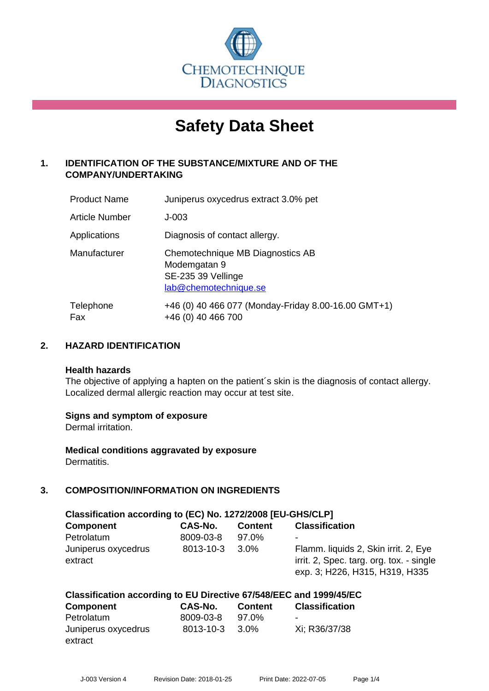

# **Safety Data Sheet**

# **1. IDENTIFICATION OF THE SUBSTANCE/MIXTURE AND OF THE COMPANY/UNDERTAKING**

| <b>Product Name</b> | Juniperus oxycedrus extract 3.0% pet                                                            |
|---------------------|-------------------------------------------------------------------------------------------------|
| Article Number      | $J-003$                                                                                         |
| Applications        | Diagnosis of contact allergy.                                                                   |
| Manufacturer        | Chemotechnique MB Diagnostics AB<br>Modemgatan 9<br>SE-235 39 Vellinge<br>lab@chemotechnique.se |
| Telephone<br>Fax    | +46 (0) 40 466 077 (Monday-Friday 8.00-16.00 GMT+1)<br>+46 (0) 40 466 700                       |

# **2. HAZARD IDENTIFICATION**

#### **Health hazards**

The objective of applying a hapten on the patient's skin is the diagnosis of contact allergy. Localized dermal allergic reaction may occur at test site.

#### **Signs and symptom of exposure**

Dermal irritation.

**Medical conditions aggravated by exposure** Dermatitis.

# **3. COMPOSITION/INFORMATION ON INGREDIENTS**

| Classification according to (EC) No. 1272/2008 [EU-GHS/CLP] |           |                |                                                                                                                    |  |  |
|-------------------------------------------------------------|-----------|----------------|--------------------------------------------------------------------------------------------------------------------|--|--|
| <b>Component</b>                                            | CAS-No.   | <b>Content</b> | <b>Classification</b>                                                                                              |  |  |
| Petrolatum                                                  | 8009-03-8 | 97.0%          | ٠                                                                                                                  |  |  |
| Juniperus oxycedrus<br>extract                              | 8013-10-3 | $3.0\%$        | Flamm. liquids 2, Skin irrit. 2, Eye<br>irrit. 2, Spec. targ. org. tox. - single<br>exp. 3; H226, H315, H319, H335 |  |  |

#### **Classification according to EU Directive 67/548/EEC and 1999/45/EC**

| <b>Component</b>    | <b>CAS-No.</b> | <b>Content</b> | <b>Classification</b> |
|---------------------|----------------|----------------|-----------------------|
| Petrolatum          | 8009-03-8      | 97.0%          | $\blacksquare$        |
| Juniperus oxycedrus | 8013-10-3      | 3.0%           | Xi: R36/37/38         |
| extract             |                |                |                       |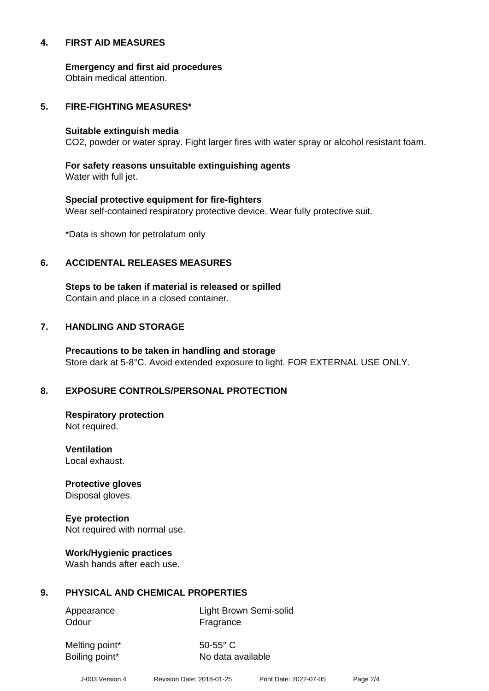#### **4. FIRST AID MEASURES**

**Emergency and first aid procedures**

Obtain medical attention.

#### **5. FIRE-FIGHTING MEASURES\***

#### **Suitable extinguish media**

CO2, powder or water spray. Fight larger fires with water spray or alcohol resistant foam.

# **For safety reasons unsuitable extinguishing agents**

Water with full jet.

# **Special protective equipment for fire-fighters** Wear self-contained respiratory protective device. Wear fully protective suit.

\*Data is shown for petrolatum only

# **6. ACCIDENTAL RELEASES MEASURES**

**Steps to be taken if material is released or spilled** Contain and place in a closed container.

# **7. HANDLING AND STORAGE**

**Precautions to be taken in handling and storage** Store dark at 5-8°C. Avoid extended exposure to light. FOR EXTERNAL USE ONLY.

# **8. EXPOSURE CONTROLS/PERSONAL PROTECTION**

**Respiratory protection** Not required.

**Ventilation** Local exhaust.

**Protective gloves** Disposal gloves.

# **Eye protection**

Not required with normal use.

#### **Work/Hygienic practices**

Wash hands after each use.

#### **9. PHYSICAL AND CHEMICAL PROPERTIES**

Odour **Fragrance** 

Appearance Light Brown Semi-solid

Melting point\* 50-55° C

Boiling point\* No data available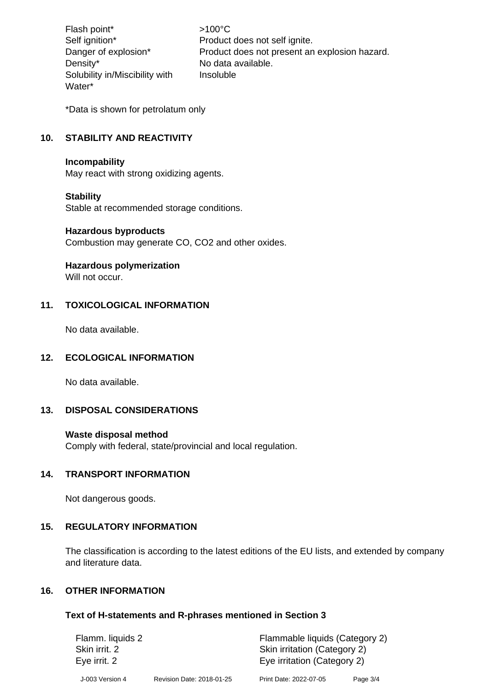Flash point\*  $>100^{\circ}$ C Density\* No data available. Solubility in/Miscibility with Water\*

Self ignition\* Product does not self ignite. Danger of explosion\* Product does not present an explosion hazard. Insoluble

\*Data is shown for petrolatum only

# **10. STABILITY AND REACTIVITY**

#### **Incompability**

May react with strong oxidizing agents.

#### **Stability**

Stable at recommended storage conditions.

#### **Hazardous byproducts**

Combustion may generate CO, CO2 and other oxides.

#### **Hazardous polymerization**

Will not occur.

# **11. TOXICOLOGICAL INFORMATION**

No data available.

#### **12. ECOLOGICAL INFORMATION**

No data available.

#### **13. DISPOSAL CONSIDERATIONS**

#### **Waste disposal method**

Comply with federal, state/provincial and local regulation.

#### **14. TRANSPORT INFORMATION**

Not dangerous goods.

#### **15. REGULATORY INFORMATION**

The classification is according to the latest editions of the EU lists, and extended by company and literature data.

#### **16. OTHER INFORMATION**

#### **Text of H-statements and R-phrases mentioned in Section 3**

| Flamm. liquids 2 |                           | Flammable liquids (Category 2) |          |
|------------------|---------------------------|--------------------------------|----------|
| Skin irrit. 2    |                           | Skin irritation (Category 2)   |          |
| Eye irrit. 2     |                           | Eye irritation (Category 2)    |          |
| J-003 Version 4  | Revision Date: 2018-01-25 | Print Date: 2022-07-05         | Page 3/4 |